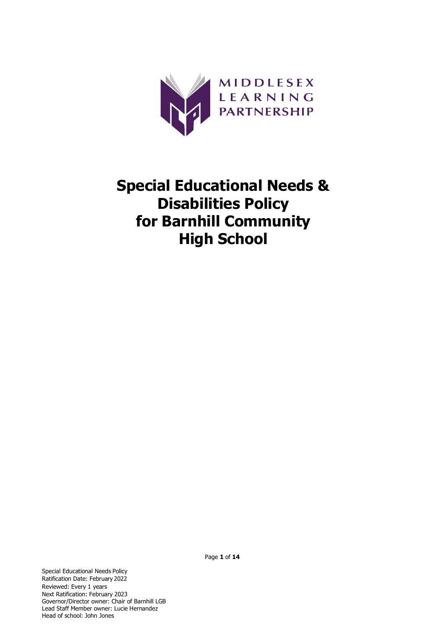

# **Special Educational Needs & Disabilities Policy for Barnhill Community High School**

Special Educational Needs Policy Ratification Date: February 2022 Reviewed: Every 1 years Next Ratification: February 2023 Governor/Director owner: Chair of Barnhill LGB Lead Staff Member owner: Lucie Hernandez Head of school: John Jones

Page **1** of **14**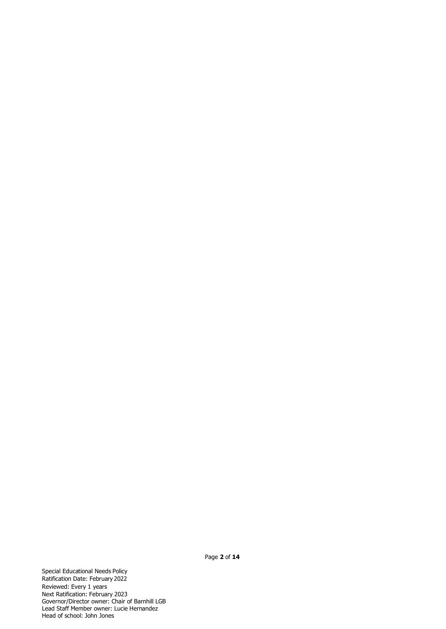Special Educational Needs Policy Ratification Date: February 2022 Reviewed: Every 1 years Next Ratification: February 2023 Governor/Director owner: Chair of Barnhill LGB Lead Staff Member owner: Lucie Hernandez Head of school: John Jones

Page **2** of **14**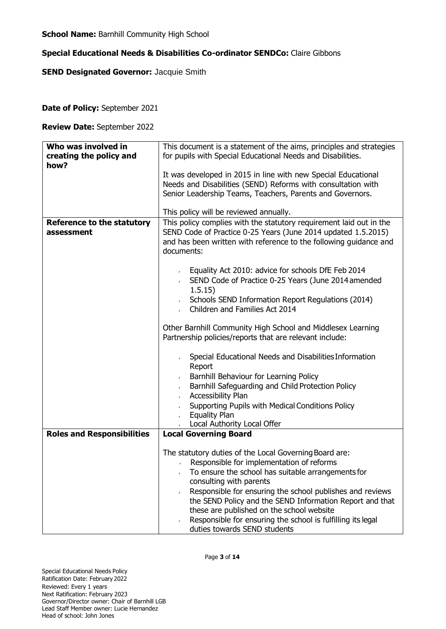## **Special Educational Needs & Disabilities Co-ordinator SENDCo:** Claire Gibbons

#### **SEND Designated Governor: Jacquie Smith**

**Date of Policy:** September 2021

**Review Date:** September 2022

| Who was involved in<br>creating the policy and<br>how? | This document is a statement of the aims, principles and strategies<br>for pupils with Special Educational Needs and Disabilities.<br>It was developed in 2015 in line with new Special Educational<br>Needs and Disabilities (SEND) Reforms with consultation with<br>Senior Leadership Teams, Teachers, Parents and Governors.<br>This policy will be reviewed annually.                                                                                                                                                                                                                                                                                                                                                                                                                                                                                                                                                                                                                                    |  |
|--------------------------------------------------------|---------------------------------------------------------------------------------------------------------------------------------------------------------------------------------------------------------------------------------------------------------------------------------------------------------------------------------------------------------------------------------------------------------------------------------------------------------------------------------------------------------------------------------------------------------------------------------------------------------------------------------------------------------------------------------------------------------------------------------------------------------------------------------------------------------------------------------------------------------------------------------------------------------------------------------------------------------------------------------------------------------------|--|
| <b>Reference to the statutory</b><br>assessment        | This policy complies with the statutory requirement laid out in the<br>SEND Code of Practice 0-25 Years (June 2014 updated 1.5.2015)<br>and has been written with reference to the following guidance and<br>documents:<br>Equality Act 2010: advice for schools DfE Feb 2014<br>$\pmb{\epsilon}$<br>SEND Code of Practice 0-25 Years (June 2014 amended<br>1.5.15)<br>Schools SEND Information Report Regulations (2014)<br>Children and Families Act 2014<br>Other Barnhill Community High School and Middlesex Learning<br>Partnership policies/reports that are relevant include:<br>Special Educational Needs and Disabilities Information<br>$\hat{\pmb{\epsilon}}$<br>Report<br>Barnhill Behaviour for Learning Policy<br>$\pmb{\theta}$<br>Barnhill Safeguarding and Child Protection Policy<br>$\pmb{\epsilon}$<br>Accessibility Plan<br>$\hat{\pmb{\epsilon}}$<br>Supporting Pupils with Medical Conditions Policy<br><b>Equality Plan</b><br>é.<br>Local Authority Local Offer<br>$\pmb{\epsilon}$ |  |
| <b>Roles and Responsibilities</b>                      | <b>Local Governing Board</b>                                                                                                                                                                                                                                                                                                                                                                                                                                                                                                                                                                                                                                                                                                                                                                                                                                                                                                                                                                                  |  |
|                                                        | The statutory duties of the Local Governing Board are:<br>Responsible for implementation of reforms<br>To ensure the school has suitable arrangements for<br>consulting with parents<br>Responsible for ensuring the school publishes and reviews<br>è<br>the SEND Policy and the SEND Information Report and that<br>these are published on the school website<br>Responsible for ensuring the school is fulfilling its legal<br>duties towards SEND students                                                                                                                                                                                                                                                                                                                                                                                                                                                                                                                                                |  |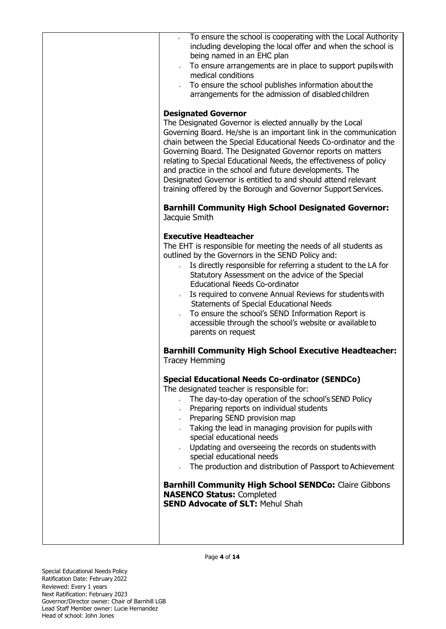| To ensure the school is cooperating with the Local Authority<br>including developing the local offer and when the school is<br>being named in an EHC plan<br>To ensure arrangements are in place to support pupils with<br>medical conditions<br>To ensure the school publishes information about the<br>arrangements for the admission of disabled children                                                                                                                                                                                                       |
|--------------------------------------------------------------------------------------------------------------------------------------------------------------------------------------------------------------------------------------------------------------------------------------------------------------------------------------------------------------------------------------------------------------------------------------------------------------------------------------------------------------------------------------------------------------------|
| <b>Designated Governor</b><br>The Designated Governor is elected annually by the Local<br>Governing Board. He/she is an important link in the communication<br>chain between the Special Educational Needs Co-ordinator and the<br>Governing Board. The Designated Governor reports on matters<br>relating to Special Educational Needs, the effectiveness of policy<br>and practice in the school and future developments. The<br>Designated Governor is entitled to and should attend relevant<br>training offered by the Borough and Governor Support Services. |
| <b>Barnhill Community High School Designated Governor:</b><br>Jacquie Smith                                                                                                                                                                                                                                                                                                                                                                                                                                                                                        |
| <b>Executive Headteacher</b><br>The EHT is responsible for meeting the needs of all students as<br>outlined by the Governors in the SEND Policy and:<br>Is directly responsible for referring a student to the LA for<br>Statutory Assessment on the advice of the Special<br><b>Educational Needs Co-ordinator</b><br>Is required to convene Annual Reviews for students with<br>Statements of Special Educational Needs<br>To ensure the school's SEND Information Report is<br>accessible through the school's website or available to<br>parents on request    |
| <b>Barnhill Community High School Executive Headteacher:</b><br><b>Tracey Hemming</b>                                                                                                                                                                                                                                                                                                                                                                                                                                                                              |
| <b>Special Educational Needs Co-ordinator (SENDCo)</b><br>The designated teacher is responsible for:<br>The day-to-day operation of the school's SEND Policy<br>$\mathbf{r}$<br>Preparing reports on individual students<br>Preparing SEND provision map<br>Taking the lead in managing provision for pupils with<br>special educational needs<br>Updating and overseeing the records on students with<br>special educational needs<br>The production and distribution of Passport to Achievement                                                                  |
| <b>Barnhill Community High School SENDCo: Claire Gibbons</b><br><b>NASENCO Status: Completed</b><br><b>SEND Advocate of SLT: Mehul Shah</b>                                                                                                                                                                                                                                                                                                                                                                                                                        |
|                                                                                                                                                                                                                                                                                                                                                                                                                                                                                                                                                                    |

Page **4** of **14**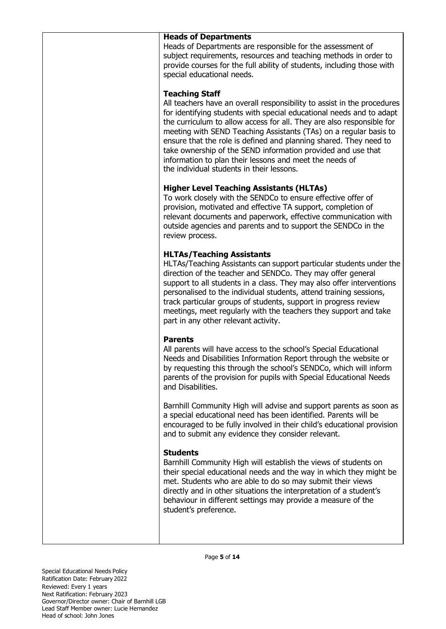| <b>Heads of Departments</b><br>Heads of Departments are responsible for the assessment of<br>subject requirements, resources and teaching methods in order to<br>provide courses for the full ability of students, including those with<br>special educational needs.                                                                                                                                                                                                                                                                                               |
|---------------------------------------------------------------------------------------------------------------------------------------------------------------------------------------------------------------------------------------------------------------------------------------------------------------------------------------------------------------------------------------------------------------------------------------------------------------------------------------------------------------------------------------------------------------------|
| <b>Teaching Staff</b><br>All teachers have an overall responsibility to assist in the procedures<br>for identifying students with special educational needs and to adapt<br>the curriculum to allow access for all. They are also responsible for<br>meeting with SEND Teaching Assistants (TAs) on a regular basis to<br>ensure that the role is defined and planning shared. They need to<br>take ownership of the SEND information provided and use that<br>information to plan their lessons and meet the needs of<br>the individual students in their lessons. |
| <b>Higher Level Teaching Assistants (HLTAs)</b><br>To work closely with the SENDCo to ensure effective offer of<br>provision, motivated and effective TA support, completion of<br>relevant documents and paperwork, effective communication with<br>outside agencies and parents and to support the SENDCo in the<br>review process.                                                                                                                                                                                                                               |
| <b>HLTAs/Teaching Assistants</b><br>HLTAs/Teaching Assistants can support particular students under the<br>direction of the teacher and SENDCo. They may offer general<br>support to all students in a class. They may also offer interventions<br>personalised to the individual students, attend training sessions,<br>track particular groups of students, support in progress review<br>meetings, meet regularly with the teachers they support and take<br>part in any other relevant activity.                                                                |
| <b>Parents</b><br>All parents will have access to the school's Special Educational<br>Needs and Disabilities Information Report through the website or<br>by requesting this through the school's SENDCo, which will inform<br>parents of the provision for pupils with Special Educational Needs<br>and Disabilities.                                                                                                                                                                                                                                              |
| Barnhill Community High will advise and support parents as soon as<br>a special educational need has been identified. Parents will be<br>encouraged to be fully involved in their child's educational provision<br>and to submit any evidence they consider relevant.                                                                                                                                                                                                                                                                                               |
| <b>Students</b><br>Barnhill Community High will establish the views of students on<br>their special educational needs and the way in which they might be<br>mot Students who are able to do so may submit their views                                                                                                                                                                                                                                                                                                                                               |

met. Students who are able to do so may submit their views directly and in other situations the interpretation of a student's behaviour in different settings may provide a measure of the student's preference.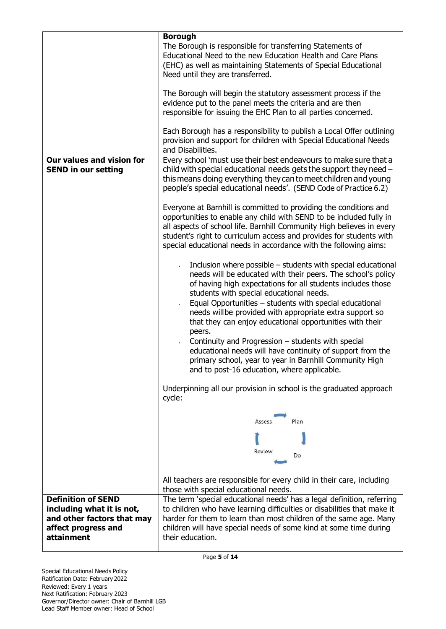|                                                                                                                           | <b>Borough</b><br>The Borough is responsible for transferring Statements of<br>Educational Need to the new Education Health and Care Plans<br>(EHC) as well as maintaining Statements of Special Educational<br>Need until they are transferred.<br>The Borough will begin the statutory assessment process if the<br>evidence put to the panel meets the criteria and are then<br>responsible for issuing the EHC Plan to all parties concerned.<br>Each Borough has a responsibility to publish a Local Offer outlining<br>provision and support for children with Special Educational Needs<br>and Disabilities.                                                                                                                                                                                                                                                                                                                                                                                                                                                                                                                                                                                                                                                                                                                                                                                                                                                                                          |
|---------------------------------------------------------------------------------------------------------------------------|--------------------------------------------------------------------------------------------------------------------------------------------------------------------------------------------------------------------------------------------------------------------------------------------------------------------------------------------------------------------------------------------------------------------------------------------------------------------------------------------------------------------------------------------------------------------------------------------------------------------------------------------------------------------------------------------------------------------------------------------------------------------------------------------------------------------------------------------------------------------------------------------------------------------------------------------------------------------------------------------------------------------------------------------------------------------------------------------------------------------------------------------------------------------------------------------------------------------------------------------------------------------------------------------------------------------------------------------------------------------------------------------------------------------------------------------------------------------------------------------------------------|
| Our values and vision for<br><b>SEND in our setting</b>                                                                   | Every school 'must use their best endeavours to make sure that a<br>child with special educational needs gets the support they need -<br>this means doing everything they can to meet children and young<br>people's special educational needs'. (SEND Code of Practice 6.2)<br>Everyone at Barnhill is committed to providing the conditions and<br>opportunities to enable any child with SEND to be included fully in<br>all aspects of school life. Barnhill Community High believes in every<br>student's right to curriculum access and provides for students with<br>special educational needs in accordance with the following aims:<br>Inclusion where possible - students with special educational<br>needs will be educated with their peers. The school's policy<br>of having high expectations for all students includes those<br>students with special educational needs.<br>Equal Opportunities - students with special educational<br>needs willbe provided with appropriate extra support so<br>that they can enjoy educational opportunities with their<br>peers.<br>Continuity and Progression - students with special<br>educational needs will have continuity of support from the<br>primary school, year to year in Barnhill Community High<br>and to post-16 education, where applicable.<br>Underpinning all our provision in school is the graduated approach<br>cycle:<br>Plan<br>Assess<br>Review<br>Do<br>All teachers are responsible for every child in their care, including |
| <b>Definition of SEND</b><br>including what it is not,<br>and other factors that may<br>affect progress and<br>attainment | those with special educational needs.<br>The term 'special educational needs' has a legal definition, referring<br>to children who have learning difficulties or disabilities that make it<br>harder for them to learn than most children of the same age. Many<br>children will have special needs of some kind at some time during<br>their education.                                                                                                                                                                                                                                                                                                                                                                                                                                                                                                                                                                                                                                                                                                                                                                                                                                                                                                                                                                                                                                                                                                                                                     |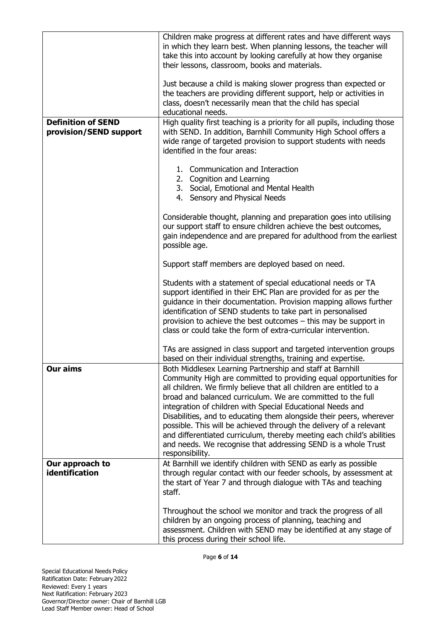|                                                     | Children make progress at different rates and have different ways<br>in which they learn best. When planning lessons, the teacher will<br>take this into account by looking carefully at how they organise<br>their lessons, classroom, books and materials.                                                                                                                                                                                                                                                                                                                                                                                 |
|-----------------------------------------------------|----------------------------------------------------------------------------------------------------------------------------------------------------------------------------------------------------------------------------------------------------------------------------------------------------------------------------------------------------------------------------------------------------------------------------------------------------------------------------------------------------------------------------------------------------------------------------------------------------------------------------------------------|
|                                                     | Just because a child is making slower progress than expected or<br>the teachers are providing different support, help or activities in<br>class, doesn't necessarily mean that the child has special<br>educational needs.                                                                                                                                                                                                                                                                                                                                                                                                                   |
| <b>Definition of SEND</b><br>provision/SEND support | High quality first teaching is a priority for all pupils, including those<br>with SEND. In addition, Barnhill Community High School offers a<br>wide range of targeted provision to support students with needs<br>identified in the four areas:                                                                                                                                                                                                                                                                                                                                                                                             |
|                                                     | 1. Communication and Interaction<br>2. Cognition and Learning<br>3. Social, Emotional and Mental Health<br>4. Sensory and Physical Needs                                                                                                                                                                                                                                                                                                                                                                                                                                                                                                     |
|                                                     | Considerable thought, planning and preparation goes into utilising<br>our support staff to ensure children achieve the best outcomes,<br>gain independence and are prepared for adulthood from the earliest<br>possible age.                                                                                                                                                                                                                                                                                                                                                                                                                 |
|                                                     | Support staff members are deployed based on need.                                                                                                                                                                                                                                                                                                                                                                                                                                                                                                                                                                                            |
|                                                     | Students with a statement of special educational needs or TA<br>support identified in their EHC Plan are provided for as per the<br>guidance in their documentation. Provision mapping allows further<br>identification of SEND students to take part in personalised<br>provision to achieve the best outcomes - this may be support in<br>class or could take the form of extra-curricular intervention.                                                                                                                                                                                                                                   |
|                                                     | TAs are assigned in class support and targeted intervention groups<br>based on their individual strengths, training and expertise.                                                                                                                                                                                                                                                                                                                                                                                                                                                                                                           |
| Our aims                                            | Both Middlesex Learning Partnership and staff at Barnhill<br>Community High are committed to providing equal opportunities for<br>all children. We firmly believe that all children are entitled to a<br>broad and balanced curriculum. We are committed to the full<br>integration of children with Special Educational Needs and<br>Disabilities, and to educating them alongside their peers, wherever<br>possible. This will be achieved through the delivery of a relevant<br>and differentiated curriculum, thereby meeting each child's abilities<br>and needs. We recognise that addressing SEND is a whole Trust<br>responsibility. |
| Our approach to<br>identification                   | At Barnhill we identify children with SEND as early as possible<br>through regular contact with our feeder schools, by assessment at<br>the start of Year 7 and through dialogue with TAs and teaching<br>staff.                                                                                                                                                                                                                                                                                                                                                                                                                             |
|                                                     | Throughout the school we monitor and track the progress of all<br>children by an ongoing process of planning, teaching and<br>assessment. Children with SEND may be identified at any stage of<br>this process during their school life.                                                                                                                                                                                                                                                                                                                                                                                                     |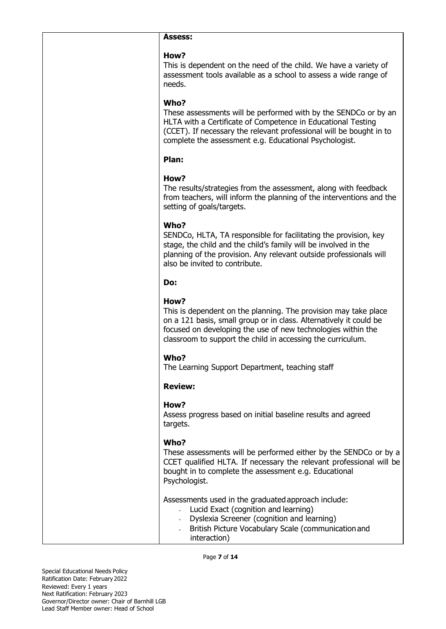#### **Assess:**

#### **How?**

This is dependent on the need of the child. We have a variety of assessment tools available as a school to assess a wide range of needs.

### **Who?**

These assessments will be performed with by the SENDCo or by an HLTA with a Certificate of Competence in Educational Testing (CCET). If necessary the relevant professional will be bought in to complete the assessment e.g. Educational Psychologist.

#### **Plan:**

#### **How?**

The results/strategies from the assessment, along with feedback from teachers, will inform the planning of the interventions and the setting of goals/targets.

#### **Who?**

SENDCo, HLTA, TA responsible for facilitating the provision, key stage, the child and the child's family will be involved in the planning of the provision. Any relevant outside professionals will also be invited to contribute.

#### **Do:**

## **How?**

This is dependent on the planning. The provision may take place on a 121 basis, small group or in class. Alternatively it could be focused on developing the use of new technologies within the classroom to support the child in accessing the curriculum.

#### **Who?**

The Learning Support Department, teaching staff

#### **Review:**

#### **How?**

Assess progress based on initial baseline results and agreed targets.

#### **Who?**

These assessments will be performed either by the SENDCo or by a CCET qualified HLTA. If necessary the relevant professional will be bought in to complete the assessment e.g. Educational Psychologist.

Assessments used in the graduated approach include:

- Lucid Exact (cognition and learning)
- Dyslexia Screener (cognition and learning)
- British Picture Vocabulary Scale (communicationand interaction)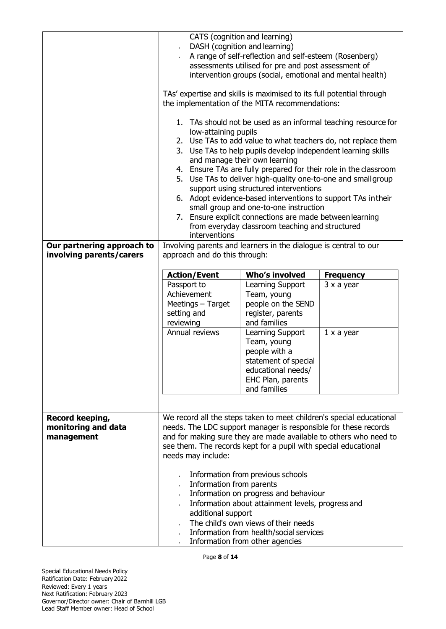| Our partnering approach to                           | low-attaining pupils<br>interventions                                                                                | CATS (cognition and learning)<br>DASH (cognition and learning)<br>A range of self-reflection and self-esteem (Rosenberg)<br>assessments utilised for pre and post assessment of<br>intervention groups (social, emotional and mental health)<br>TAs' expertise and skills is maximised to its full potential through<br>the implementation of the MITA recommendations:<br>1. TAs should not be used as an informal teaching resource for<br>2. Use TAs to add value to what teachers do, not replace them<br>3. Use TAs to help pupils develop independent learning skills<br>and manage their own learning<br>4. Ensure TAs are fully prepared for their role in the classroom<br>5. Use TAs to deliver high-quality one-to-one and small group<br>support using structured interventions<br>6. Adopt evidence-based interventions to support TAs in their<br>small group and one-to-one instruction<br>7. Ensure explicit connections are made between learning<br>from everyday classroom teaching and structured |                                                      |
|------------------------------------------------------|----------------------------------------------------------------------------------------------------------------------|-----------------------------------------------------------------------------------------------------------------------------------------------------------------------------------------------------------------------------------------------------------------------------------------------------------------------------------------------------------------------------------------------------------------------------------------------------------------------------------------------------------------------------------------------------------------------------------------------------------------------------------------------------------------------------------------------------------------------------------------------------------------------------------------------------------------------------------------------------------------------------------------------------------------------------------------------------------------------------------------------------------------------|------------------------------------------------------|
| involving parents/carers                             | Involving parents and learners in the dialogue is central to our<br>approach and do this through:                    |                                                                                                                                                                                                                                                                                                                                                                                                                                                                                                                                                                                                                                                                                                                                                                                                                                                                                                                                                                                                                       |                                                      |
|                                                      | <b>Action/Event</b><br>Passport to<br>Achievement<br>Meetings - Target<br>setting and<br>reviewing<br>Annual reviews | Who's involved<br>Learning Support<br>Team, young<br>people on the SEND<br>register, parents<br>and families<br>Learning Support<br>Team, young<br>people with a<br>statement of special<br>educational needs/<br>EHC Plan, parents<br>and families                                                                                                                                                                                                                                                                                                                                                                                                                                                                                                                                                                                                                                                                                                                                                                   | <b>Frequency</b><br>$3x$ a year<br>$1 \times a$ year |
| Record keeping,<br>monitoring and data<br>management | needs may include:<br>$\hat{\pmb{\epsilon}}$<br>Information from parents<br>$\epsilon$<br>additional support         | We record all the steps taken to meet children's special educational<br>needs. The LDC support manager is responsible for these records<br>and for making sure they are made available to others who need to<br>see them. The records kept for a pupil with special educational<br>Information from previous schools<br>Information on progress and behaviour<br>Information about attainment levels, progress and<br>The child's own views of their needs<br>Information from health/social services<br>Information from other agencies                                                                                                                                                                                                                                                                                                                                                                                                                                                                              |                                                      |

Page **8** of **14**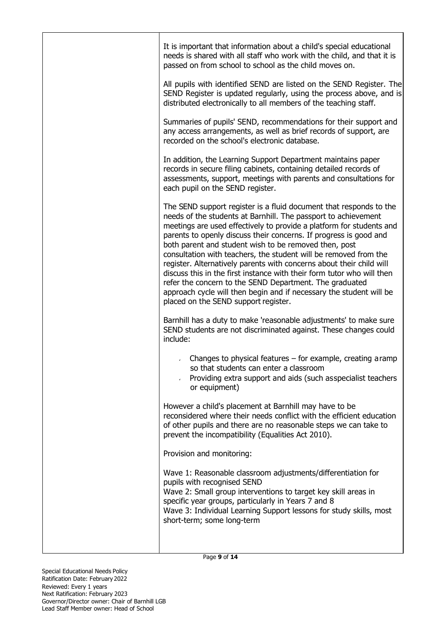| It is important that information about a child's special educational<br>needs is shared with all staff who work with the child, and that it is<br>passed on from school to school as the child moves on.                                                                                                                                                                                                                                                                                                                                                                                                                                                                                                                                   |
|--------------------------------------------------------------------------------------------------------------------------------------------------------------------------------------------------------------------------------------------------------------------------------------------------------------------------------------------------------------------------------------------------------------------------------------------------------------------------------------------------------------------------------------------------------------------------------------------------------------------------------------------------------------------------------------------------------------------------------------------|
| All pupils with identified SEND are listed on the SEND Register. The<br>SEND Register is updated regularly, using the process above, and is<br>distributed electronically to all members of the teaching staff.                                                                                                                                                                                                                                                                                                                                                                                                                                                                                                                            |
| Summaries of pupils' SEND, recommendations for their support and<br>any access arrangements, as well as brief records of support, are<br>recorded on the school's electronic database.                                                                                                                                                                                                                                                                                                                                                                                                                                                                                                                                                     |
| In addition, the Learning Support Department maintains paper<br>records in secure filing cabinets, containing detailed records of<br>assessments, support, meetings with parents and consultations for<br>each pupil on the SEND register.                                                                                                                                                                                                                                                                                                                                                                                                                                                                                                 |
| The SEND support register is a fluid document that responds to the<br>needs of the students at Barnhill. The passport to achievement<br>meetings are used effectively to provide a platform for students and<br>parents to openly discuss their concerns. If progress is good and<br>both parent and student wish to be removed then, post<br>consultation with teachers, the student will be removed from the<br>register. Alternatively parents with concerns about their child will<br>discuss this in the first instance with their form tutor who will then<br>refer the concern to the SEND Department. The graduated<br>approach cycle will then begin and if necessary the student will be<br>placed on the SEND support register. |
| Barnhill has a duty to make 'reasonable adjustments' to make sure<br>SEND students are not discriminated against. These changes could<br>include:                                                                                                                                                                                                                                                                                                                                                                                                                                                                                                                                                                                          |
| Changes to physical features – for example, creating aramp<br>so that students can enter a classroom<br>Providing extra support and aids (such asspecialist teachers<br>or equipment)                                                                                                                                                                                                                                                                                                                                                                                                                                                                                                                                                      |
| However a child's placement at Barnhill may have to be<br>reconsidered where their needs conflict with the efficient education<br>of other pupils and there are no reasonable steps we can take to<br>prevent the incompatibility (Equalities Act 2010).                                                                                                                                                                                                                                                                                                                                                                                                                                                                                   |
| Provision and monitoring:                                                                                                                                                                                                                                                                                                                                                                                                                                                                                                                                                                                                                                                                                                                  |
| Wave 1: Reasonable classroom adjustments/differentiation for<br>pupils with recognised SEND<br>Wave 2: Small group interventions to target key skill areas in<br>specific year groups, particularly in Years 7 and 8<br>Wave 3: Individual Learning Support lessons for study skills, most<br>short-term; some long-term                                                                                                                                                                                                                                                                                                                                                                                                                   |
|                                                                                                                                                                                                                                                                                                                                                                                                                                                                                                                                                                                                                                                                                                                                            |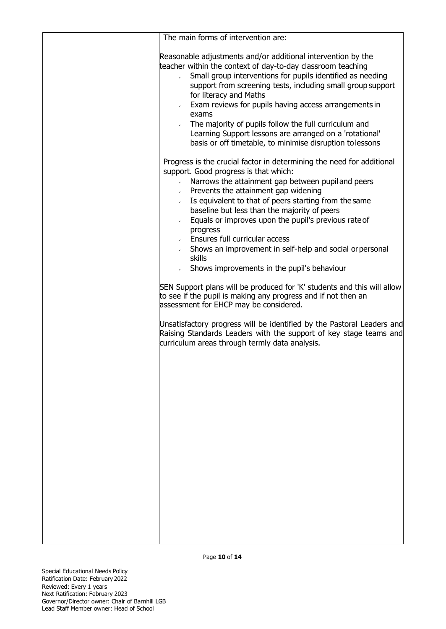| The main forms of intervention are:                                                                                                                                                                                                                                                                                                                                                                                                                                                                                                                                                                                                                                                                                                                                                                                                                                                                                                                                    |
|------------------------------------------------------------------------------------------------------------------------------------------------------------------------------------------------------------------------------------------------------------------------------------------------------------------------------------------------------------------------------------------------------------------------------------------------------------------------------------------------------------------------------------------------------------------------------------------------------------------------------------------------------------------------------------------------------------------------------------------------------------------------------------------------------------------------------------------------------------------------------------------------------------------------------------------------------------------------|
| Reasonable adjustments and/or additional intervention by the<br>teacher within the context of day-to-day classroom teaching<br>Small group interventions for pupils identified as needing<br>support from screening tests, including small group support<br>for literacy and Maths<br>Exam reviews for pupils having access arrangements in<br>¥<br>exams<br>The majority of pupils follow the full curriculum and<br>Learning Support lessons are arranged on a 'rotational'<br>basis or off timetable, to minimise disruption to lessons                                                                                                                                                                                                                                                                                                                                                                                                                             |
| Progress is the crucial factor in determining the need for additional<br>support. Good progress is that which:<br>Narrows the attainment gap between pupil and peers<br>$\mathbf{r}^{\prime}$<br>Prevents the attainment gap widening<br>Is equivalent to that of peers starting from the same<br>baseline but less than the majority of peers<br>Equals or improves upon the pupil's previous rate of<br>¥.<br>progress<br>Ensures full curricular access<br>Shows an improvement in self-help and social or personal<br>skills<br>Shows improvements in the pupil's behaviour<br>SEN Support plans will be produced for 'K' students and this will allow<br>to see if the pupil is making any progress and if not then an<br>assessment for EHCP may be considered.<br>Unsatisfactory progress will be identified by the Pastoral Leaders and<br>Raising Standards Leaders with the support of key stage teams and<br>curriculum areas through termly data analysis. |
|                                                                                                                                                                                                                                                                                                                                                                                                                                                                                                                                                                                                                                                                                                                                                                                                                                                                                                                                                                        |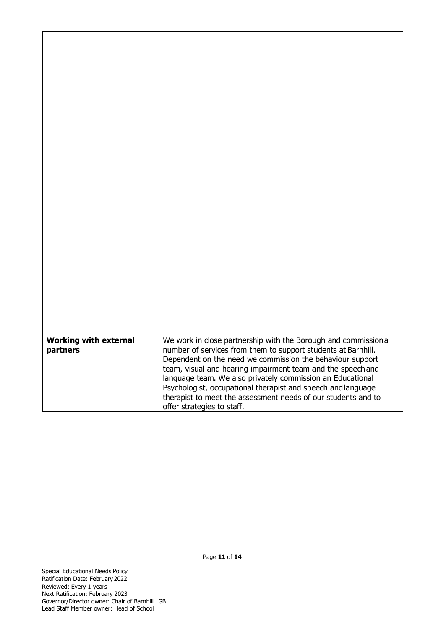| <b>Working with external</b> | We work in close partnership with the Borough and commission a                                                                |
|------------------------------|-------------------------------------------------------------------------------------------------------------------------------|
| partners                     | number of services from them to support students at Barnhill.<br>Dependent on the need we commission the behaviour support    |
|                              | team, visual and hearing impairment team and the speech and<br>language team. We also privately commission an Educational     |
|                              | Psychologist, occupational therapist and speech and language<br>therapist to meet the assessment needs of our students and to |
|                              | offer strategies to staff.                                                                                                    |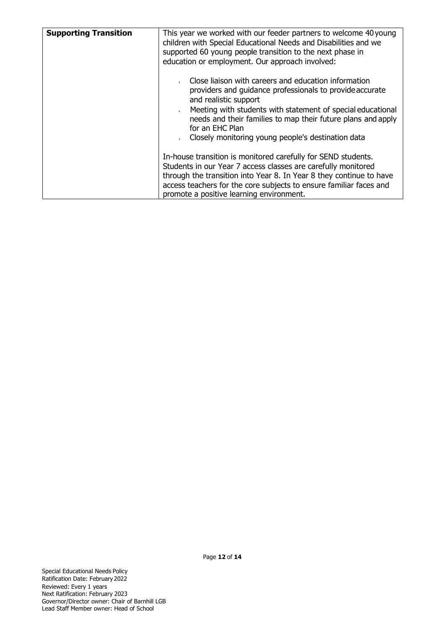| <b>Supporting Transition</b> | This year we worked with our feeder partners to welcome 40 young<br>children with Special Educational Needs and Disabilities and we<br>supported 60 young people transition to the next phase in<br>education or employment. Our approach involved:                                                                                                                               |
|------------------------------|-----------------------------------------------------------------------------------------------------------------------------------------------------------------------------------------------------------------------------------------------------------------------------------------------------------------------------------------------------------------------------------|
|                              | Close liaison with careers and education information<br>providers and guidance professionals to provide accurate<br>and realistic support<br>Meeting with students with statement of special educational<br>$\mathbf{r}$<br>needs and their families to map their future plans and apply<br>for an EHC Plan<br>Closely monitoring young people's destination data<br>$\mathbf{r}$ |
|                              | In-house transition is monitored carefully for SEND students.<br>Students in our Year 7 access classes are carefully monitored<br>through the transition into Year 8. In Year 8 they continue to have<br>access teachers for the core subjects to ensure familiar faces and<br>promote a positive learning environment.                                                           |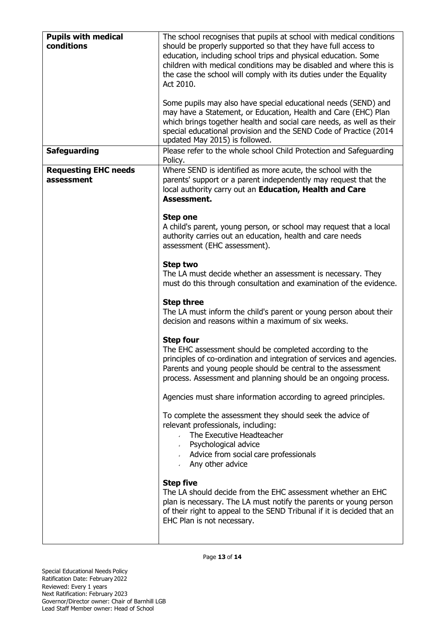| <b>Pupils with medical</b><br>conditions  | The school recognises that pupils at school with medical conditions<br>should be properly supported so that they have full access to<br>education, including school trips and physical education. Some<br>children with medical conditions may be disabled and where this is<br>the case the school will comply with its duties under the Equality<br>Act 2010.<br>Some pupils may also have special educational needs (SEND) and<br>may have a Statement, or Education, Health and Care (EHC) Plan<br>which brings together health and social care needs, as well as their<br>special educational provision and the SEND Code of Practice (2014<br>updated May 2015) is followed. |
|-------------------------------------------|------------------------------------------------------------------------------------------------------------------------------------------------------------------------------------------------------------------------------------------------------------------------------------------------------------------------------------------------------------------------------------------------------------------------------------------------------------------------------------------------------------------------------------------------------------------------------------------------------------------------------------------------------------------------------------|
| <b>Safeguarding</b>                       | Please refer to the whole school Child Protection and Safeguarding<br>Policy.                                                                                                                                                                                                                                                                                                                                                                                                                                                                                                                                                                                                      |
| <b>Requesting EHC needs</b><br>assessment | Where SEND is identified as more acute, the school with the<br>parents' support or a parent independently may request that the<br>local authority carry out an Education, Health and Care<br>Assessment.                                                                                                                                                                                                                                                                                                                                                                                                                                                                           |
|                                           | <b>Step one</b><br>A child's parent, young person, or school may request that a local<br>authority carries out an education, health and care needs<br>assessment (EHC assessment).                                                                                                                                                                                                                                                                                                                                                                                                                                                                                                 |
|                                           | <b>Step two</b><br>The LA must decide whether an assessment is necessary. They<br>must do this through consultation and examination of the evidence.                                                                                                                                                                                                                                                                                                                                                                                                                                                                                                                               |
|                                           | <b>Step three</b><br>The LA must inform the child's parent or young person about their<br>decision and reasons within a maximum of six weeks.                                                                                                                                                                                                                                                                                                                                                                                                                                                                                                                                      |
|                                           | <b>Step four</b><br>The EHC assessment should be completed according to the<br>principles of co-ordination and integration of services and agencies.<br>Parents and young people should be central to the assessment<br>process. Assessment and planning should be an ongoing process.                                                                                                                                                                                                                                                                                                                                                                                             |
|                                           | Agencies must share information according to agreed principles.                                                                                                                                                                                                                                                                                                                                                                                                                                                                                                                                                                                                                    |
|                                           | To complete the assessment they should seek the advice of<br>relevant professionals, including:<br>The Executive Headteacher<br>Psychological advice<br>Advice from social care professionals<br>Any other advice                                                                                                                                                                                                                                                                                                                                                                                                                                                                  |
|                                           | <b>Step five</b><br>The LA should decide from the EHC assessment whether an EHC<br>plan is necessary. The LA must notify the parents or young person<br>of their right to appeal to the SEND Tribunal if it is decided that an<br>EHC Plan is not necessary.                                                                                                                                                                                                                                                                                                                                                                                                                       |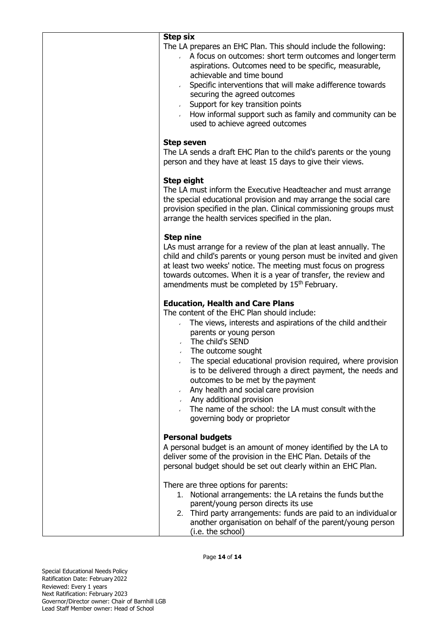| . . | n<br>ı<br>٠ |  |
|-----|-------------|--|
|-----|-------------|--|

The LA prepares an EHC Plan. This should include the following:

- A focus on outcomes: short term outcomes and longerterm aspirations. Outcomes need to be specific, measurable, achievable and time bound
- Specific interventions that will make adifference towards securing the agreed outcomes
- Support for key transition points
- How informal support such as family and community can be used to achieve agreed outcomes

### **Step seven**

The LA sends a draft EHC Plan to the child's parents or the young person and they have at least 15 days to give their views.

## **Step eight**

The LA must inform the Executive Headteacher and must arrange the special educational provision and may arrange the social care provision specified in the plan. Clinical commissioning groups must arrange the health services specified in the plan.

## **Step nine**

LAs must arrange for a review of the plan at least annually. The child and child's parents or young person must be invited and given at least two weeks' notice. The meeting must focus on progress towards outcomes. When it is a year of transfer, the review and amendments must be completed by 15<sup>th</sup> February.

## **Education, Health and Care Plans**

The content of the EHC Plan should include:

- The views, interests and aspirations of the child andtheir parents or young person
- The child's SEND
- The outcome sought
- The special educational provision required, where provision is to be delivered through a direct payment, the needs and outcomes to be met by the payment
- Any health and social care provision
- Any additional provision
- The name of the school: the LA must consult with the governing body or proprietor

## **Personal budgets**

A personal budget is an amount of money identified by the LA to deliver some of the provision in the EHC Plan. Details of the personal budget should be set out clearly within an EHC Plan.

There are three options for parents:

- 1. Notional arrangements: the LA retains the funds butthe parent/young person directs its use
- 2. Third party arrangements: funds are paid to an individualor another organisation on behalf of the parent/young person (i.e. the school)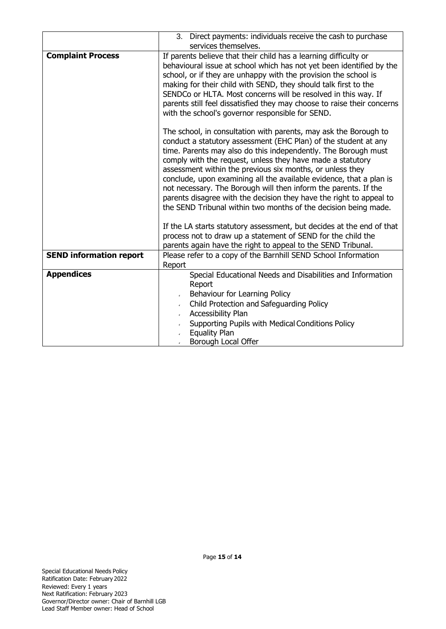|                                | 3. Direct payments: individuals receive the cash to purchase<br>services themselves.                                                                                                                                                                                                                                                                                                                                                                                                                                                                                                                                                                                                          |
|--------------------------------|-----------------------------------------------------------------------------------------------------------------------------------------------------------------------------------------------------------------------------------------------------------------------------------------------------------------------------------------------------------------------------------------------------------------------------------------------------------------------------------------------------------------------------------------------------------------------------------------------------------------------------------------------------------------------------------------------|
| <b>Complaint Process</b>       | If parents believe that their child has a learning difficulty or<br>behavioural issue at school which has not yet been identified by the<br>school, or if they are unhappy with the provision the school is<br>making for their child with SEND, they should talk first to the<br>SENDCo or HLTA. Most concerns will be resolved in this way. If<br>parents still feel dissatisfied they may choose to raise their concerns<br>with the school's governor responsible for SEND.                                                                                                                                                                                                               |
|                                | The school, in consultation with parents, may ask the Borough to<br>conduct a statutory assessment (EHC Plan) of the student at any<br>time. Parents may also do this independently. The Borough must<br>comply with the request, unless they have made a statutory<br>assessment within the previous six months, or unless they<br>conclude, upon examining all the available evidence, that a plan is<br>not necessary. The Borough will then inform the parents. If the<br>parents disagree with the decision they have the right to appeal to<br>the SEND Tribunal within two months of the decision being made.<br>If the LA starts statutory assessment, but decides at the end of that |
|                                | process not to draw up a statement of SEND for the child the<br>parents again have the right to appeal to the SEND Tribunal.                                                                                                                                                                                                                                                                                                                                                                                                                                                                                                                                                                  |
| <b>SEND information report</b> | Please refer to a copy of the Barnhill SEND School Information<br>Report                                                                                                                                                                                                                                                                                                                                                                                                                                                                                                                                                                                                                      |
| <b>Appendices</b>              | Special Educational Needs and Disabilities and Information<br>Report<br>Behaviour for Learning Policy<br>$\hat{\pmb{\epsilon}}$<br>Child Protection and Safeguarding Policy<br>$\mathbf{e}^{\mathbf{r}}$<br>Accessibility Plan<br>¥.<br>Supporting Pupils with Medical Conditions Policy<br><b>Equality Plan</b><br>Borough Local Offer                                                                                                                                                                                                                                                                                                                                                       |